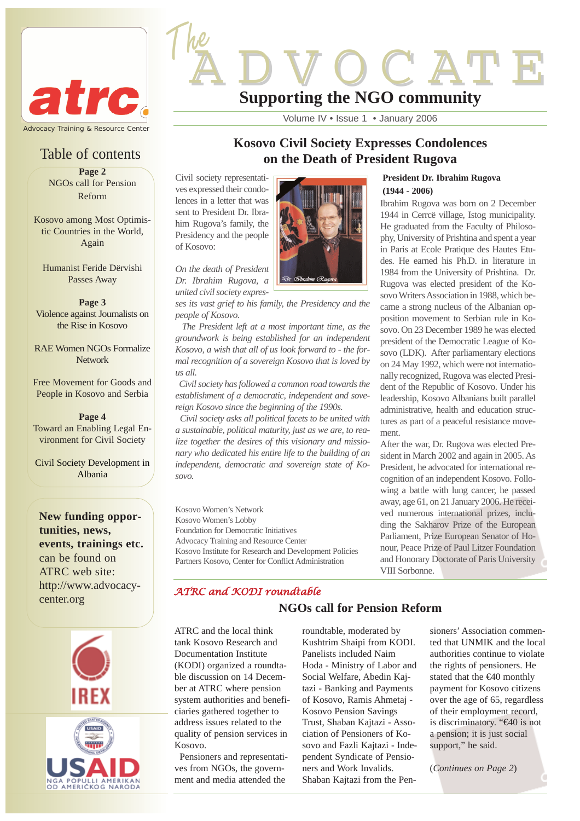

## Table of contents

**Page 2** NGOs call for Pension Reform

Kosovo among Most Optimistic Countries in the World, Again

Humanist Feride Dërvishi Passes Away

**Page 3** Violence against Journalists on the Rise in Kosovo

RAE Women NGOs Formalize Network

Free Movement for Goods and People in Kosovo and Serbia

**Page 4** Toward an Enabling Legal Environment for Civil Society

Civil Society Development in Albania

**New funding opportunities, news, events, trainings etc.** can be found on ATRC web site: http://www.advocacycenter.org



# **Supporting the NGO community**

Volume IV • Issue 1 • January 2006

## **Kosovo Civil Society Expresses Condolences on the Death of President Rugova**

Civil society representatives expressed their condolences in a letter that was sent to President Dr. Ibrahim Rugova's family, the Presidency and the people of Kosovo:

The

*On the death of President Dr. Ibrahim Rugova, a united civil society expres-*

*ses its vast grief to his family, the Presidency and the people of Kosovo.*

*The President left at a most important time, as the groundwork is being established for an independent Kosovo, a wish that all of us look forward to - the formal recognition of a sovereign Kosovo that is loved by us all.* 

*Civil society has followed a common road towards the establishment of a democratic, independent and sovereign Kosovo since the beginning of the 1990s.*

*Civil society asks all political facets to be united with a sustainable, political maturity, just as we are, to realize together the desires of this visionary and missionary who dedicated his entire life to the building of an independent, democratic and sovereign state of Kosovo.*

Kosovo Women's Network Kosovo Women's Lobby Foundation for Democratic Initiatives Advocacy Training and Resource Center Kosovo Institute for Research and Development Policies Partners Kosovo, Center for Conflict Administration

## **President Dr. Ibrahim Rugova (1944 - 2006)**

C'AT E

Ibrahim Rugova was born on 2 December 1944 in Cerrcë village, Istog municipality. He graduated from the Faculty of Philosophy, University of Prishtina and spent a year in Paris at Ecole Pratique des Hautes Etudes. He earned his Ph.D. in literature in 1984 from the University of Prishtina. Dr. Rugova was elected president of the Kosovo Writers Association in 1988, which became a strong nucleus of the Albanian opposition movement to Serbian rule in Kosovo. On 23 December 1989 he was elected president of the Democratic League of Kosovo (LDK). After parliamentary elections on 24 May 1992, which were not internationally recognized, Rugova was elected President of the Republic of Kosovo. Under his leadership, Kosovo Albanians built parallel administrative, health and education structures as part of a peaceful resistance movement.

After the war, Dr. Rugova was elected President in March 2002 and again in 2005. As President, he advocated for international recognition of an independent Kosovo. Following a battle with lung cancer, he passed away, age 61, on 21 January 2006. He received numerous international prizes, including the Sakharov Prize of the European Parliament, Prize European Senator of Honour, Peace Prize of Paul Litzer Foundation and Honorary Doctorate of Paris University VIII Sorbonne.

## *ATRC and KODI roundtable*

ATRC and the local think tank Kosovo Research and Documentation Institute (KODI) organized a roundtable discussion on 14 December at ATRC where pension system authorities and beneficiaries gathered together to address issues related to the quality of pension services in Kosovo.

Pensioners and representatives from NGOs, the government and media attended the

roundtable, moderated by Kushtrim Shaipi from KODI. Panelists included Naim Hoda - Ministry of Labor and Social Welfare, Abedin Kajtazi - Banking and Payments of Kosovo, Ramis Ahmetaj - Kosovo Pension Savings Trust, Shaban Kajtazi - Association of Pensioners of Kosovo and Fazli Kajtazi - Independent Syndicate of Pensioners and Work Invalids. Shaban Kajtazi from the Pen-

**NGOs call for Pension Reform**

sioners' Association commented that UNMIK and the local authorities continue to violate the rights of pensioners. He stated that the €40 monthly payment for Kosovo citizens over the age of 65, regardless of their employment record, is discriminatory. "€40 is not a pension; it is just social support," he said.

(*Continues on Page 2*)

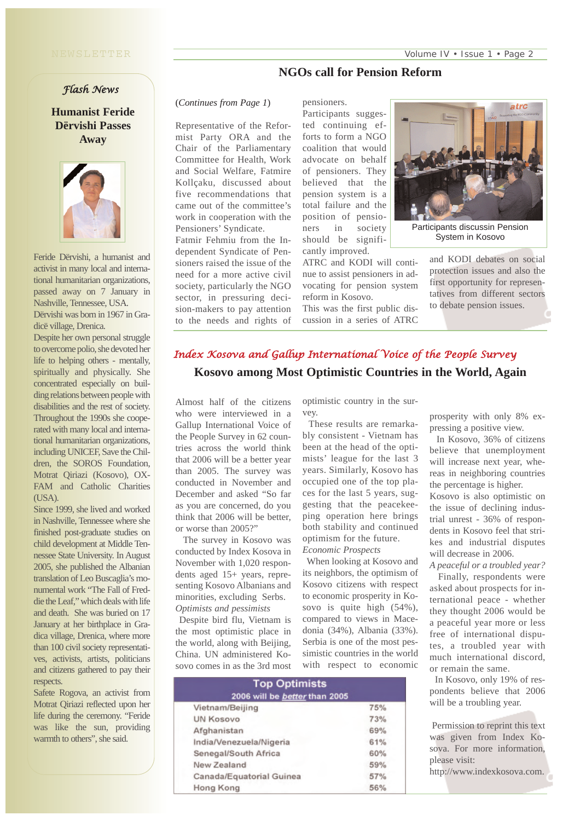## **NGOs call for Pension Reform**

## *Flash News*

**Humanist Feride Dërvishi Passes Away** 



Feride Dërvishi, a humanist and activist in many local and international humanitarian organizations, passed away on 7 January in Nashville, Tennessee, USA.

Dërvishi was born in 1967 in Gradicë village, Drenica.

Despite her own personal struggle to overcome polio, she devoted her life to helping others - mentally, spiritually and physically. She concentrated especially on building relations between people with disabilities and the rest of society. Throughout the 1990s she cooperated with many local and international humanitarian organizations, including UNICEF, Save the Children, the SOROS Foundation, Motrat Qiriazi (Kosovo), OX-FAM and Catholic Charities  $(IISA)$ .

Since 1999, she lived and worked in Nashville, Tennessee where she finished post-graduate studies on child development at Middle Tennessee State University. In August 2005, she published the Albanian translation of Leo Buscaglia's monumental work "The Fall of Freddie the Leaf," which deals with life and death. She was buried on 17 January at her birthplace in Gradica village, Drenica, where more than 100 civil society representatives, activists, artists, politicians and citizens gathered to pay their respects.

Safete Rogova, an activist from Motrat Qiriazi reflected upon her life during the ceremony. "Feride was like the sun, providing warmth to others", she said.

#### (*Continues from Page 1*)

Representative of the Reformist Party ORA and the Chair of the Parliamentary Committee for Health, Work and Social Welfare, Fatmire Kollçaku, discussed about five recommendations that came out of the committee's work in cooperation with the Pensioners' Syndicate.

Fatmir Fehmiu from the Independent Syndicate of Pensioners raised the issue of the need for a more active civil society, particularly the NGO sector, in pressuring decision-makers to pay attention to the needs and rights of

pensioners.

Participants suggested continuing efforts to form a NGO coalition that would advocate on behalf of pensioners. They believed that the pension system is a total failure and the position of pensioners in society should be significantly improved.

ATRC and KODI will continue to assist pensioners in advocating for pension system reform in Kosovo.

This was the first public discussion in a series of ATRC



Participants discussin Pension System in Kosovo

and KODI debates on social protection issues and also the first opportunity for representatives from different sectors to debate pension issues.

## **Kosovo among Most Optimistic Countries in the World, Again** *Index Kosova and Gallup International Voice of the People Survey*

Almost half of the citizens who were interviewed in a Gallup International Voice of the People Survey in 62 countries across the world think that 2006 will be a better year than 2005. The survey was conducted in November and December and asked "So far as you are concerned, do you think that 2006 will be better, or worse than 2005?"

The survey in Kosovo was conducted by Index Kosova in November with 1,020 respondents aged 15+ years, representing Kosovo Albanians and minorities, excluding Serbs. *Optimists and pessimists* 

Despite bird flu, Vietnam is the most optimistic place in the world, along with Beijing, China. UN administered Kosovo comes in as the 3rd most optimistic country in the survey.

These results are remarkably consistent - Vietnam has been at the head of the optimists' league for the last 3 years. Similarly, Kosovo has occupied one of the top places for the last 5 years, suggesting that the peacekeeping operation here brings both stability and continued optimism for the future. *Economic Prospects*

When looking at Kosovo and its neighbors, the optimism of Kosovo citizens with respect to economic prosperity in Kosovo is quite high (54%), compared to views in Macedonia (34%), Albania (33%). Serbia is one of the most pessimistic countries in the world with respect to economic prosperity with only 8% expressing a positive view. In Kosovo, 36% of citizens

believe that unemployment will increase next year, whereas in neighboring countries the percentage is higher. Kosovo is also optimistic on the issue of declining industrial unrest - 36% of respondents in Kosovo feel that strikes and industrial disputes will decrease in 2006.

*A peaceful or a troubled year?* Finally, respondents were asked about prospects for international peace - whether they thought 2006 would be a peaceful year more or less free of international disputes, a troubled year with much international discord, or remain the same.

In Kosovo, only 19% of respondents believe that 2006 will be a troubling year.

Permission to reprint this text was given from Index Kosova. For more information, please visit:

http://www.indexkosova.com.

| <b>Top Optimists</b><br>2006 will be <b>better</b> than 2005 |            |
|--------------------------------------------------------------|------------|
| Vietnam/Beijing                                              | <b>75%</b> |
| <b>UN Kosovo</b>                                             | 73%        |
| Afghanistan                                                  | 69%        |
| India/Venezuela/Nigeria                                      | 61%        |
| Senegal/South Africa                                         | 60%        |
| New Zealand                                                  | 59%        |
| Canada/Equatorial Guinea                                     | 57%        |
| Hong Kong                                                    | 56%        |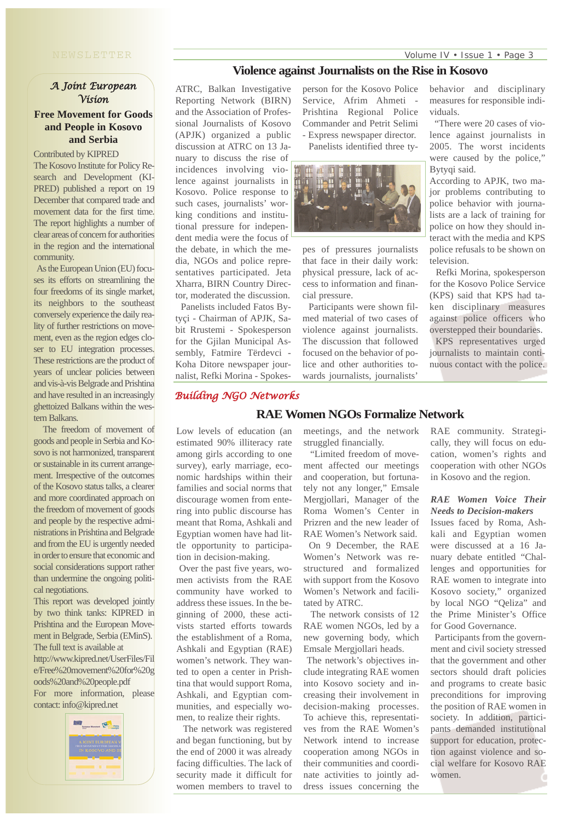## *A Joint European Vision*  **Free Movement for Goods and People in Kosovo and Serbia**

Contributed by KIPRED

The Kosovo Institute for Policy Research and Development (KI-PRED) published a report on 19 December that compared trade and movement data for the first time. The report highlights a number of clear areas of concern for authorities in the region and the international community.

As the European Union (EU) focuses its efforts on streamlining the four freedoms of its single market, its neighbors to the southeast conversely experience the daily reality of further restrictions on movement, even as the region edges closer to EU integration processes. These restrictions are the product of years of unclear policies between and vis-à-vis Belgrade and Prishtina and have resulted in an increasingly ghettoized Balkans within the western Balkans.

The freedom of movement of goods and people in Serbia and Kosovo is not harmonized, transparent or sustainable in its current arrangement. Irrespective of the outcomes of the Kosovo status talks, a clearer and more coordinated approach on the freedom of movement of goods and people by the respective administrations in Prishtina and Belgrade and from the EU is urgently needed in order to ensure that economic and social considerations support rather than undermine the ongoing political negotiations.

This report was developed jointly by two think tanks: KIPRED in Prishtina and the European Movement in Belgrade, Serbia (EMinS). The full text is available at

http://www.kipred.net/UserFiles/Fil e/Free%20movement%20for%20g oods%20and%20people.pdf

For more information, please contact: info@kipred.net



### **Violence against Journalists on the Rise in Kosovo**

ATRC, Balkan Investigative Reporting Network (BIRN) and the Association of Professional Journalists of Kosovo (APJK) organized a public discussion at ATRC on 13 January to discuss the rise of incidences involving violence against journalists in Kosovo. Police response to such cases, journalists' working conditions and institutional pressure for independent media were the focus of the debate, in which the media, NGOs and police representatives participated. Jeta Xharra, BIRN Country Director, moderated the discussion.

Panelists included Fatos Bytyçi - Chairman of APJK, Sabit Rrustemi - Spokesperson for the Gjilan Municipal Assembly, Fatmire Tërdevci - Koha Ditore newspaper journalist, Refki Morina - Spokesperson for the Kosovo Police Service, Afrim Ahmeti Prishtina Regional Police Commander and Petrit Selimi - Express newspaper director. Panelists identified three ty-



pes of pressures journalists that face in their daily work: physical pressure, lack of access to information and financial pressure.

Participants were shown filmed material of two cases of violence against journalists. The discussion that followed focused on the behavior of police and other authorities towards journalists, journalists'

behavior and disciplinary measures for responsible individuals.

"There were 20 cases of violence against journalists in 2005. The worst incidents were caused by the police," Bytyqi said.

According to APJK, two major problems contributing to police behavior with journalists are a lack of training for police on how they should interact with the media and KPS police refusals to be shown on television.

Refki Morina, spokesperson for the Kosovo Police Service (KPS) said that KPS had taken disciplinary measures against police officers who overstepped their boundaries.

KPS representatives urged journalists to maintain continuous contact with the police.

### *Building NGO Networks*

survey), early marriage, economic hardships within their families and social norms that discourage women from entering into public discourse has meant that Roma, Ashkali and Egyptian women have had little opportunity to participation in decision-making. Over the past five years, women activists from the RAE community have worked to address these issues. In the beginning of 2000, these activists started efforts towards the establishment of a Roma, Ashkali and Egyptian (RAE) women's network. They wanted to open a center in Prishtina that would support Roma, Ashkali, and Egyptian communities, and especially women, to realize their rights. The network was registered and began functioning, but by the end of 2000 it was already facing difficulties. The lack of security made it difficult for women members to travel to

Low levels of education (an estimated 90% illiteracy rate among girls according to one meetings, and the network struggled financially.

**RAE Women NGOs Formalize Network**

"Limited freedom of movement affected our meetings and cooperation, but fortunately not any longer," Emsale Mergjollari, Manager of the Roma Women's Center in Prizren and the new leader of RAE Women's Network said.

On 9 December, the RAE Women's Network was restructured and formalized with support from the Kosovo Women's Network and facilitated by ATRC.

The network consists of 12 RAE women NGOs, led by a new governing body, which Emsale Mergjollari heads.

The network's objectives include integrating RAE women into Kosovo society and increasing their involvement in decision-making processes. To achieve this, representatives from the RAE Women's Network intend to increase cooperation among NGOs in their communities and coordinate activities to jointly address issues concerning the RAE community. Strategically, they will focus on education, women's rights and cooperation with other NGOs in Kosovo and the region.

#### *RAE Women Voice Their Needs to Decision-makers*

Issues faced by Roma, Ashkali and Egyptian women were discussed at a 16 January debate entitled "Challenges and opportunities for RAE women to integrate into Kosovo society," organized by local NGO "Qeliza" and the Prime Minister's Office for Good Governance.

Participants from the government and civil society stressed that the government and other sectors should draft policies and programs to create basic preconditions for improving the position of RAE women in society. In addition, participants demanded institutional support for education, protection against violence and social welfare for Kosovo RAE women.

Volume IV • Issue 1 • Page 3